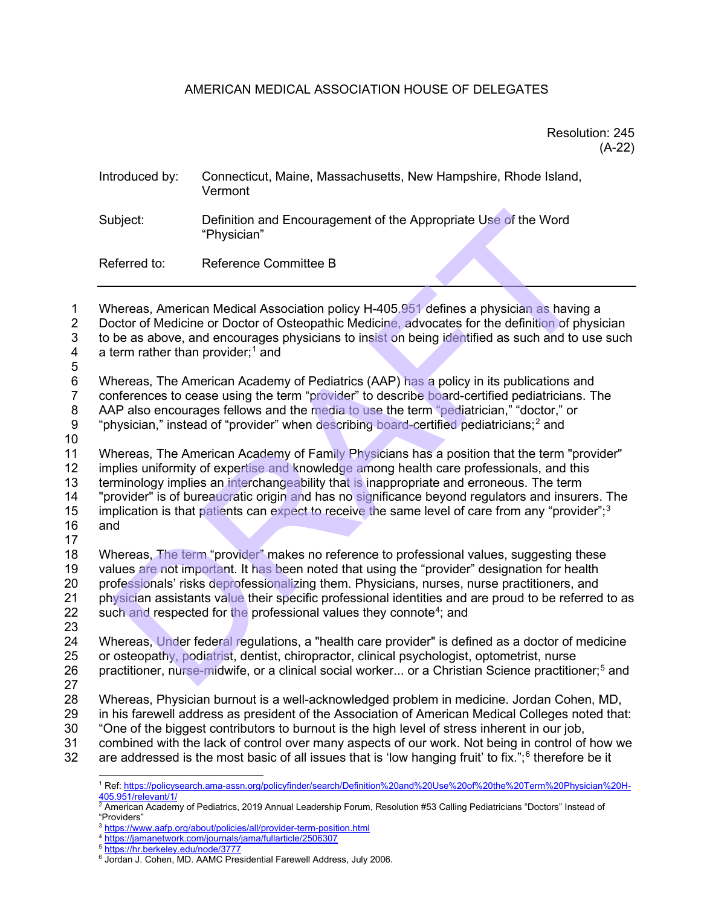# AMERICAN MEDICAL ASSOCIATION HOUSE OF DELEGATES

## Resolution: 245 (A-22)

| Introduced by: | Connecticut, Maine, Massachusetts, New Hampshire, Rhode Island,<br>Vermont     |
|----------------|--------------------------------------------------------------------------------|
| Subject:       | Definition and Encouragement of the Appropriate Use of the Word<br>"Physician" |
| Referred to:   | Reference Committee B                                                          |

1 Whereas, American Medical Association policy H-405.951 defines a physician as having a 2 Doctor of Medicine or Doctor of Osteopathic Medicine, advocates for the definition of physician 3 to be as above, and encourages physicians to insist on being identified as such and to use such  $4$  a term rather than provider;<sup>1</sup> and

- a term rather than provider; $<sup>1</sup>$  and</sup>
- 5

6 Whereas, The American Academy of Pediatrics (AAP) has a policy in its publications and

7 conferences to cease using the term "provider" to describe board-certified pediatricians. The<br>8 AAP also encourages fellows and the media to use the term "pediatrician." "doctor." or

AAP also encourages fellows and the media to use the term "pediatrician," "doctor," or

9 "physician," instead of "provider" when describing board-certified pediatricians;<sup>2</sup> and

10

11 Whereas, The American Academy of Family Physicians has a position that the term "provider" 12 implies uniformity of expertise and knowledge among health care professionals, and this

13 terminology implies an interchangeability that is inappropriate and erroneous. The term<br>14 Trovider'' is of bureaucratic origin and has no significance bevond regulators and insure "provider" is of bureaucratic origin and has no significance beyond regulators and insurers. The

15 implication is that patients can expect to receive the same level of care from any "provider";<sup>[3](#page-0-2)</sup>

16 and

17<br>18 Whereas, The term "provider" makes no reference to professional values, suggesting these 19 values are not important. It has been noted that using the "provider" designation for health 20 professionals' risks deprofessionalizing them. Physicians, nurses, nurse practitioners, and<br>21 physician assistants value their specific professional identities and are proud to be referred 21 physician assistants value their specific professional identities and are proud to be referred to as 22 such and respected for the professional values they connote<sup>4</sup>; and such and respected for the professional values they connote<sup>4</sup>; and ibject: Definition and Encouragement of the Appropriate Use of the Word<br>
"Physician"<br>
ferred to: Reference Committee B<br>
hereas, American Medical Association policy H-405.951 defines a physician as having<br>
hereas, American

23

Whereas, Under federal regulations, a "health care provider" is defined as a doctor of medicine 25 or osteopathy, podiatrist, dentist, chiropractor, clinical psychologist, optometrist, nurse 26 practitioner, nurse-midwife, or a clinical social worker... or a Christian Science practitioner;<sup>[5](#page-0-4)</sup> and

 $\frac{27}{28}$ 

Whereas, Physician burnout is a well-acknowledged problem in medicine. Jordan Cohen, MD, 29 in his farewell address as president of the Association of American Medical Colleges noted that:

30 "One of the biggest contributors to burnout is the high level of stress inherent in our job,<br>31 Combined with the lack of control over many aspects of our work. Not being in control of

<span id="page-0-1"></span><span id="page-0-0"></span>31 combined with the lack of control over many aspects of our work. Not being in control of how we<br>32 are addressed is the most basic of all issues that is 'low hanging fruit' to fix.":<sup>6</sup> therefore be it are addressed is the most basic of all issues that is 'low hanging fruit' to fix.";<sup>[6](#page-0-5)</sup> therefore be it

<sup>1</sup> Ref[: https://policysearch.ama-assn.org/policyfinder/search/Definition%20and%20Use%20of%20the%20Term%20Physician%20H-](https://policysearch.ama-assn.org/policyfinder/search/Definition%20and%20Use%20of%20the%20Term%20Physician%20H-405.951/relevant/1/)

<sup>&</sup>lt;sup>2</sup> American Academy of Pediatrics, 2019 Annual Leadership Forum, Resolution #53 Calling Pediatricians "Doctors" Instead of "Providers"<br><sup>3</sup> https://www.aafp.org/about/policies/all/provider-term-position.html

<span id="page-0-3"></span><span id="page-0-2"></span>

<sup>&</sup>lt;sup>4</sup> <https://jamanetwork.com/journals/jama/fullarticle/2506307>

<span id="page-0-4"></span><sup>5</sup> <https://hr.berkeley.edu/node/3777>

<span id="page-0-5"></span><sup>6</sup> Jordan J. Cohen, MD. AAMC Presidential Farewell Address, July 2006.